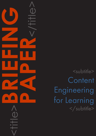<subtitle> **Content** Engineering for Learning </subtitle>

<title>**BRIEFING**

**PAPER**<br>CONSTRAINS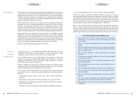## CAPDM Ltd. CAPDM Ltd.

Introduction The Internet and web-based technologies have changed forever the way we teach and learn. The catalyst for this has been faster and easier communications, based on the new infrastructure of connected machines and common information standards. This extra degree of connectivity has enabled wider and easier access to information resources and has allowed greater collaboration between people, applications and those resources.

> New developments in learning such as games-based or adaptive learning have emerged, as have new software applications to support them. Many education providers are exploring alternative forms of programme delivery, student support and revenue generation based on them. Most have invested in virtual learning environments or learning management systems, and some are looking again at scalable programmes of distance learning employing flexible delivery.

- •hand-crafted design oriented rather than batch, efficient-production oriented;
- dedicated to working with one delivery medium only e.g. print or Web;
- dedicated to working with one tool and format only e.g. MS Word; Acrobat; Flash or Dreamweaver;
- required to work with no guiding content strategy or pedagogic guidelines;

• proving too expensive to recruit, equip, maintain, retain and manage.

Along with these new applications however, there has emerged a greater expectation in what can be done with existing learning resources. The harnessing of these resources is proving problematic, and many sets of learning materials are still isolated in 'data islands' via proprietary structures, formats and software. Recovering valuable legacy learning materials from data islands, and making them more reusable is a significant technical and financial challenge.

Taking a content engineering approach is the solution.

[Content Engineering](http://en.wikipedia.org/wiki/Content_Engineering) is an engineering speciality that deals with the issues around the use of content - content production, content management, content modelling, content conversion, and content use and repurposing.

It is not widely known of, but it is beginning to be recognised as a necessary function in any complex content-centric project such as distance or eLearning programme development, that involves both content production as well as online learning environment development.

Based on adoption of [XML/SGML](http://en.wikipedia.org/wiki/XML) standards and the use of efficient batch production tools, content engineering techniques enable richer, more accessible content exchange between teaching and learning systems.

It is also key to improving the efficiency and productivity of learning support teams and processes. Consider for example whether your materials production team are:

While some design is essential, investing in efficient production is critical in delivering high-quality programmes of education sustainably, and in a scalable way. Efficient production processes include, for example, batch production tools that can generate 3500 HTML web pages in seconds without hand-editing them in Dreamweaver, or that can generate a 700-page printed module text automatically in minutes without hand-editing them in MS Word.

But it is not only about improving the productivity of materials preparation teams. Content engineering also bridges the gap between all the groups involved in the production and the delivery of entire subject domains of learning materials, allowing better management and quality assurance. Take the content engineering test below to see some examples of this wider sphere of influence.

# What is content engineering

#### The content engineering confidence test

- 1. We always know where the master versions of our learning materials are, who has them, and what changes have been made to them.
- 2. We are no longer hand-editing the bulk of our web and printed pages.
- 3. We have single master versions for all our learning materials, and we produce all our print and online programme materials from our single masters.
- 4. We use batch production tools for generating our learning materials.
- 5. We hold all our materials outside our VLE, and can easily migrate to and support any VLE.
- 6. We are happy that we have a healthy independence of our systems and vendors.
- 7. We are delivering innovative online course materials at a cost we can sustain.
- 8. We have predictable materials preparation and updating costs.
- 9. We can translate our materials into other languages efficiently in the same solution.
- 10. We share production work collaboratively, worldwide, using the Internet.
- 11. We have trusted relationships with professional production specialists who we can call in to help when we need them.
- 12. We can take on any new print and eLearning development task confidently.